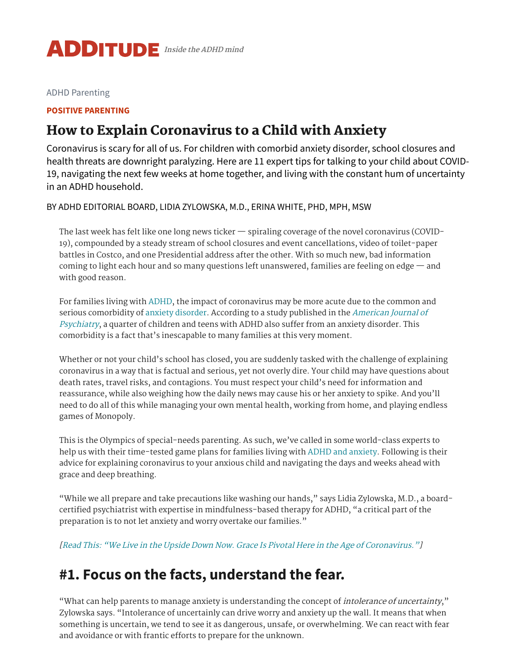

[ADHD Parenting](https://www.additudemag.com/category/parenting-adhd-kids/)

#### **POSITIVE [PARENTING](https://www.additudemag.com/category/parenting-adhd-kids/positive-parenting/)**

#### How to Explain Coronavirus to a Child with Anxiety

Coronavirus is scary for all of us. For children with comorbid anxiety disorder, school closures and health threats are downright paralyzing. Here are 11 expert tips for talking to your child about COVID-19, navigating the next few weeks at home together, and living with the constant hum of uncertainty in an ADHD household.

BY [ADHD EDITORIAL BOARD](https://www.additudemag.com/author/additude-editors/), [LIDIA ZYLOWSKA, M.D.](https://www.additudemag.com/author/lidia-zylowska-m-d/), [ERINA WHITE, PHD, MPH, MSW](https://www.additudemag.com/author/erina-white-phd-mph-msw/)

The last week has felt like one long news ticker — spiraling coverage of the novel coronavirus (COVID-19), compounded by a steady stream of school closures and event cancellations, video of toilet-paper battles in Costco, and one Presidential address after the other. With so much new, bad information coming to light each hour and so many questions left unanswered, families are feeling on edge  $-$  and with good reason.

For families living with [ADHD](https://www.additudemag.com/what-is-adhd-symptoms-causes-treatments/), the impact of coronavirus may be more acute due to the common and serious [comorbidity](https://pdfs.semanticscholar.org/0a1b/f5115363a4ca74e391bf03344d29f84baabb.pdf) of anxiety [disorder](https://www.additudemag.com/what-is-anxiety-disorder/). According to a study published in the American Journal of Psychiatry, a quarter of children and teens with ADHD also suffer from an anxiety disorder. This comorbidity is a fact that's inescapable to many families at this very moment.

Whether or not your child's school has closed, you are suddenly tasked with the challenge of explaining coronavirus in a way that is factual and serious, yet not overly dire. Your child may have questions about death rates, travel risks, and contagions. You must respect your child's need for information and reassurance, while also weighing how the daily news may cause his or her anxiety to spike. And you'll need to do all of this while managing your own mental health, working from home, and playing endless games of Monopoly.

This is the Olympics of special-needs parenting. As such, we've called in some world-class experts to help us with their time-tested game plans for families living with ADHD and [anxiety.](https://www.additudemag.com/anxiety-disorder-diagnosis/) Following is their advice for explaining coronavirus to your anxious child and navigating the days and weeks ahead with grace and deep breathing.

"While we all prepare and take precautions like washing our hands," says Lidia Zylowska, M.D., a boardcertified psychiatrist with expertise in mindfulness-based therapy for ADHD, "a critical part of the preparation is to not let anxiety and worry overtake our families."

[Read This: "We Live in the Upside Down Now. Grace Is Pivotal Here in the Age of [Coronavirus."](https://www.additudemag.com/adhd-school-closures-coronavirus-home/?src=embed_link)]

#### **#1. Focus on the facts, understand the fear.**

"What can help parents to manage anxiety is understanding the concept of *intolerance of uncertainty*," Zylowska says. "Intolerance of uncertainly can drive worry and anxiety up the wall. It means that when something is uncertain, we tend to see it as dangerous, unsafe, or overwhelming. We can react with fear and avoidance or with frantic efforts to prepare for the unknown.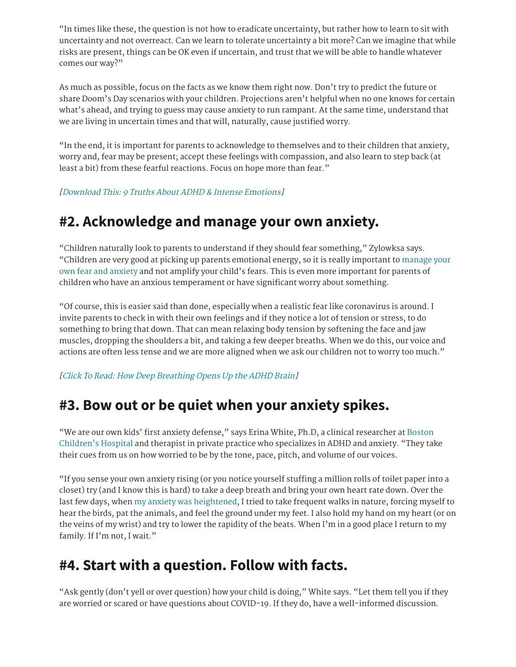"In times like these, the question is not how to eradicate uncertainty, but rather how to learn to sit with uncertainty and not overreact. Can we learn to tolerate uncertainty a bit more? Can we imagine that while risks are present, things can be OK even if uncertain, and trust that we will be able to handle whatever comes our way?"

As much as possible, focus on the facts as we know them right now. Don't try to predict the future or share Doom's Day scenarios with your children. Projections aren't helpful when no one knows for certain what's ahead, and trying to guess may cause anxiety to run rampant. At the same time, understand that we are living in uncertain times and that will, naturally, cause justified worry.

"In the end, it is important for parents to acknowledge to themselves and to their children that anxiety, worry and, fear may be present; accept these feelings with compassion, and also learn to step back (at least a bit) from these fearful reactions. Focus on hope more than fear."

[\[Download](https://www.additudemag.com/download/adhd-intense-emotions-causes-strategies/?src=embed_link) This: 9 Truths About ADHD & Intense Emotions]

## **#2. Acknowledge and manage your own anxiety.**

"Children naturally look to parents to understand if they should fear something," Zylowksa says. "Children are very good at picking up parents emotional energy, so it is really [important](https://www.additudemag.com/explain-coronavirus-covid-19-anxiety-adhd-child/%22https://www.additudemag.com/download/adhd-defiant-behavior-fix-for-parents/) to manage your own fear and anxiety and not amplify your child's fears. This is even more important for parents of children who have an anxious temperament or have significant worry about something.

"Of course, this is easier said than done, especially when a realistic fear like coronavirus is around. I invite parents to check in with their own feelings and if they notice a lot of tension or stress, to do something to bring that down. That can mean relaxing body tension by softening the face and jaw muscles, dropping the shoulders a bit, and taking a few deeper breaths. When we do this, our voice and actions are often less tense and we are more aligned when we ask our children not to worry too much."

[Click To Read: How Deep [Breathing](https://www.additudemag.com/deep-breathing-exercises-for-adhd-meditation/?src=embed_link) Opens Up the ADHD Brain]

## **#3. Bow out or be quiet when your anxiety spikes.**

"We are our own kids' first anxiety defense," says Erina White, Ph.D, a clinical researcher at Boston Children's Hospital and therapist in private practice who [specializes](http://www.childrenshospital.org/) in ADHD and anxiety. "They take their cues from us on how worried to be by the tone, pace, pitch, and volume of our voices.

"If you sense your own anxiety rising (or you notice yourself stuffing a million rolls of toilet paper into a closet) try (and I know this is hard) to take a deep breath and bring your own heart rate down. Over the last few days, when my anxiety was [heightened](https://www.additudemag.com/anxiety-disorders-in-adults-symptoms/), I tried to take frequent walks in nature, forcing myself to hear the birds, pat the animals, and feel the ground under my feet. I also hold my hand on my heart (or on the veins of my wrist) and try to lower the rapidity of the beats. When I'm in a good place I return to my family. If I'm not, I wait."

## **#4. Start with a question. Follow with facts.**

"Ask gently (don't yell or over question) how your child is doing," White says. "Let them tell you if they are worried or scared or have questions about COVID-19. If they do, have a well-informed discussion.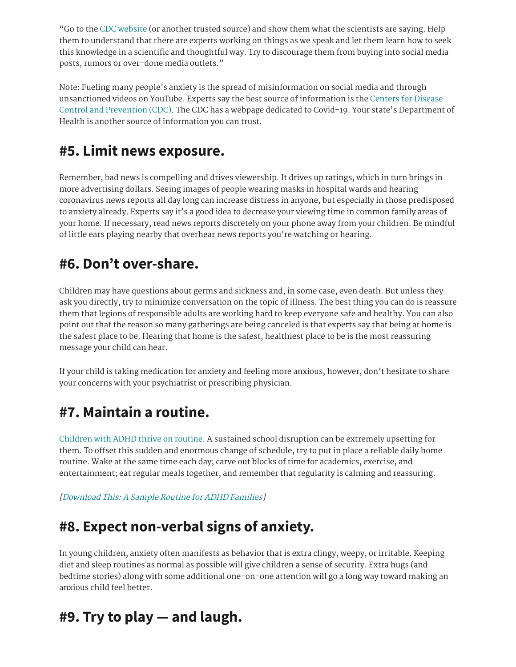"Go to the CDC [website](https://www.cdc.gov/coronavirus/2019-ncov/about/coping.html) (or another trusted source) and show them what the scientists are saying. Help them to understand that there are experts working on things as we speak and let them learn how to seek this knowledge in a scientific and thoughtful way. Try to discourage them from buying into social media posts, rumors or over-done media outlets."

Note: Fueling many people's anxiety is the spread of misinformation on social media and through [unsanctioned](https://www.cdc.gov/coronavirus/2019-ncov/about/coping.html) videos on YouTube. Experts say the best source of information is the Centers for Disease Control and Prevention (CDC). The CDC has a webpage dedicated to Covid-19. Your state's Department of Health is another source of information you can trust.

# **#5. Limit news exposure.**

Remember, bad news is compelling and drives viewership. It drives up ratings, which in turn brings in more advertising dollars. Seeing images of people wearing masks in hospital wards and hearing coronavirus news reports all day long can increase distress in anyone, but especially in those predisposed to anxiety already. Experts say it's a good idea to decrease your viewing time in common family areas of your home. If necessary, read news reports discretely on your phone away from your children. Be mindful of little ears playing nearby that overhear news reports you're watching or hearing.

# **#6. Don't over-share.**

Children may have questions about germs and sickness and, in some case, even death. But unless they ask you directly, try to minimize conversation on the topic of illness. The best thing you can do is reassure them that legions of responsible adults are working hard to keep everyone safe and healthy. You can also point out that the reason so many gatherings are being canceled is that experts say that being at home is the safest place to be. Hearing that home is the safest, healthiest place to be is the most reassuring message your child can hear.

If your child is taking medication for anxiety and feeling more anxious, however, don't hesitate to share your concerns with your psychiatrist or prescribing physician.

# **#7. Maintain a routine.**

[Children](https://www.additudemag.com/top-10-routine-builders/) with ADHD thrive on routine. A sustained school disruption can be extremely upsetting for them. To offset this sudden and enormous change of schedule, try to put in place a reliable daily home routine. Wake at the same time each day; carve out blocks of time for academics, exercise, and entertainment; eat regular meals together, and remember that regularity is calming and reassuring.

[\[Download](https://www.additudemag.com/download/routines-for-kids-with-adhd/?src=embed_link) This: <sup>A</sup> Sample Routine for ADHD Families]

# **#8. Expect non-verbal signs of anxiety.**

In young children, anxiety often manifests as behavior that is extra clingy, weepy, or irritable. Keeping diet and sleep routines as normal as possible will give children a sense of security. Extra hugs (and bedtime stories) along with some additional one-on-one attention will go a long way toward making an anxious child feel better.

# **#9. Try to play — and laugh.**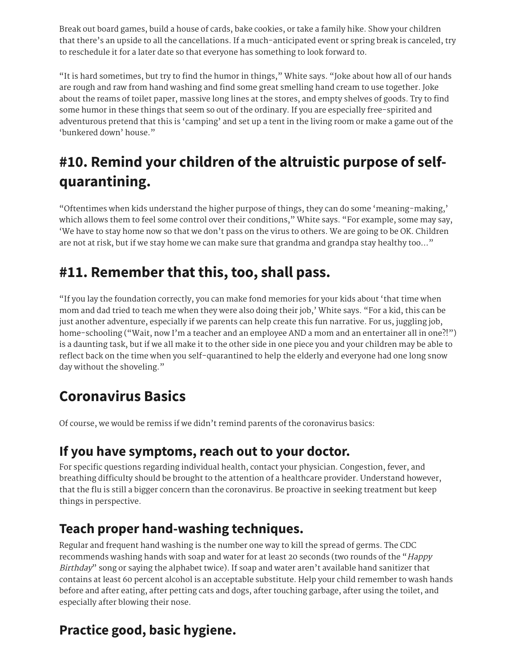Break out board games, build a house of cards, bake cookies, or take a family hike. Show your children that there's an upside to all the cancellations. If a much-anticipated event or spring break is canceled, try to reschedule it for a later date so that everyone has something to look forward to.

"It is hard sometimes, but try to find the humor in things," White says. "Joke about how all of our hands are rough and raw from hand washing and find some great smelling hand cream to use together. Joke about the reams of toilet paper, massive long lines at the stores, and empty shelves of goods. Try to find some humor in these things that seem so out of the ordinary. If you are especially free-spirited and adventurous pretend that this is 'camping' and set up a tent in the living room or make a game out of the 'bunkered down' house."

# **#10. Remind your children of the altruistic purpose of selfquarantining.**

"Oftentimes when kids understand the higher purpose of things, they can do some 'meaning-making,' which allows them to feel some control over their conditions," White says. "For example, some may say, 'We have to stay home now so that we don't pass on the virus to others. We are going to be OK. Children are not at risk, but if we stay home we can make sure that grandma and grandpa stay healthy too…"

# **#11. Remember that this, too, shall pass.**

"If you lay the foundation correctly, you can make fond memories for your kids about 'that time when mom and dad tried to teach me when they were also doing their job,' White says. "For a kid, this can be just another adventure, especially if we parents can help create this fun narrative. For us, juggling job, home-schooling ("Wait, now I'm a teacher and an employee AND a mom and an entertainer all in one?!") is a daunting task, but if we all make it to the other side in one piece you and your children may be able to reflect back on the time when you self-quarantined to help the elderly and everyone had one long snow day without the shoveling."

# **Coronavirus Basics**

Of course, we would be remiss if we didn't remind parents of the coronavirus basics:

## **If you have symptoms, reach out to your doctor.**

For specific questions regarding individual health, contact your physician. Congestion, fever, and breathing difficulty should be brought to the attention of a healthcare provider. Understand however, that the flu is still a bigger concern than the coronavirus. Be proactive in seeking treatment but keep things in perspective.

## **Teach proper hand-washing techniques.**

Regular and frequent hand washing is the number one way to kill the spread of germs. The CDC recommends washing hands with soap and water for at least 20 seconds (two rounds of the "Happy Birthday" song or saying the alphabet twice). If soap and water aren't available hand sanitizer that contains at least 60 percent alcohol is an acceptable substitute. Help your child remember to wash hands before and after eating, after petting cats and dogs, after touching garbage, after using the toilet, and especially after blowing their nose.

# **Practice good, basic hygiene.**